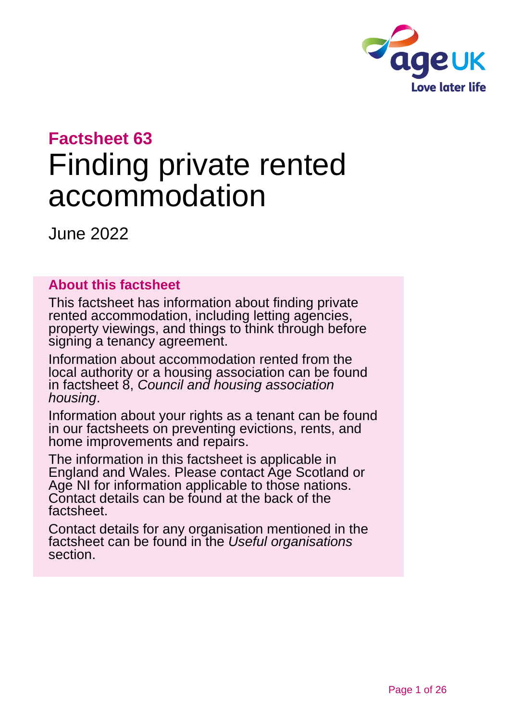

# **Factsheet 63**

# Finding private rented accommodation

June 2022

#### **About this factsheet**

This factsheet has information about finding private rented accommodation, including letting agencies, property viewings, and things to think through before signing a tenancy agreement.

Information about accommodation rented from the local authority or a housing association can be found in factsheet 8, *[Council and housing association](https://www.ageuk.org.uk/globalassets/age-uk/documents/factsheets/fs8_council_and_housing_association_housing_fcs.pdf)  [housing](https://www.ageuk.org.uk/globalassets/age-uk/documents/factsheets/fs8_council_and_housing_association_housing_fcs.pdf)*.

Information about your rights as a tenant can be found in our factsheets on preventing evictions, rents, and [home improvements and repairs.](https://www.ageuk.org.uk/globalassets/age-uk/documents/factsheets/fs67_home_improvements_and_repairs_fcs.pdf)

The information in this factsheet is applicable in England and Wales. Please contact [Age Scotland](#page-24-0) or [Age NI](#page-24-1) for information applicable to those nations. Contact details can be found at the back of the factsheet.

Contact details for any organisation mentioned in the factsheet can be found in the *[Useful organisations](#page-20-0)* section.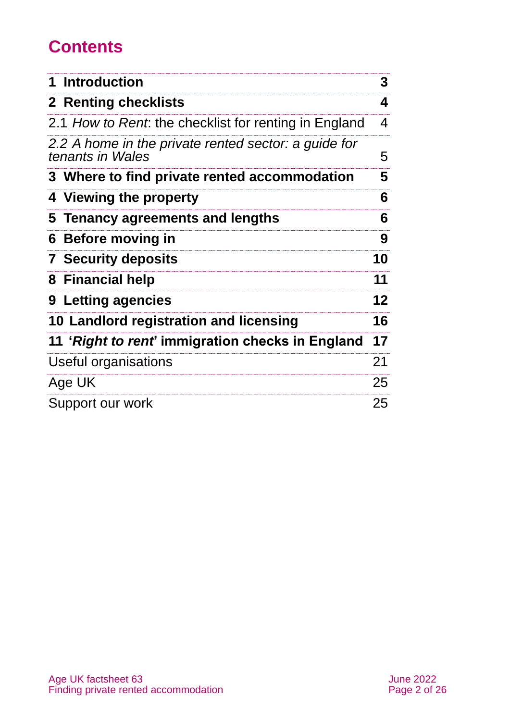# **Contents**

| 1 Introduction                                                           | 3       |
|--------------------------------------------------------------------------|---------|
| <b>2 Renting checklists</b>                                              | 4       |
| 2.1 How to Rent. the checklist for renting in England                    | 4       |
| 2.2 A home in the private rented sector: a guide for<br>tenants in Wales | 5       |
| 3 Where to find private rented accommodation                             | 5       |
| 4 Viewing the property                                                   | 6       |
| 5 Tenancy agreements and lengths                                         | 6       |
| 6 Before moving in                                                       | 9       |
| <b>7 Security deposits</b>                                               | 10      |
| 8 Financial help                                                         | 11      |
| 9 Letting agencies                                                       | $12 \,$ |
| 10 Landlord registration and licensing                                   | 16      |
| 11 'Right to rent' immigration checks in England                         | 17      |
| Useful organisations                                                     | 21      |
| Age UK                                                                   | 25      |
| Support our work                                                         | 25      |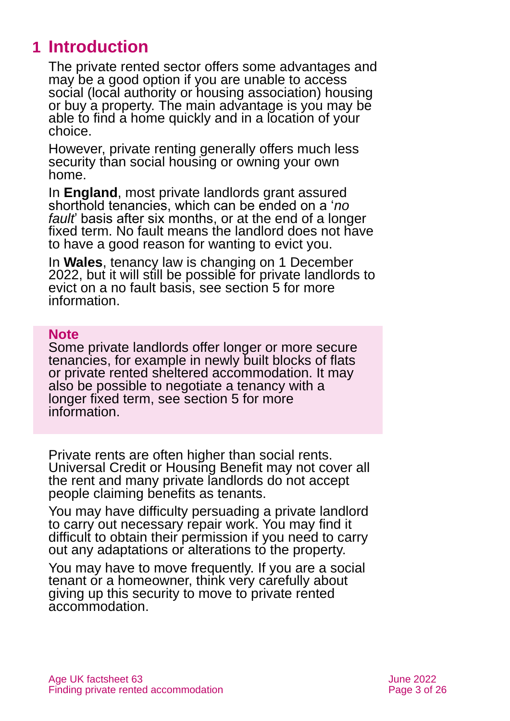# <span id="page-2-0"></span>**1 Introduction**

The private rented sector offers some advantages and may be a good option if you are unable to access social (local authority or housing association) housing or buy a property. The main advantage is you may be able to find a home quickly and in a location of your choice.

However, private renting generally offers much less security than social housing or owning your own home.

In **England**, most private landlords grant assured shorthold tenancies, which can be ended on a '*no fault*' basis after six months, or at the end of a longer fixed term. No fault means the landlord does not have to have a good reason for wanting to evict you.

In **Wales**, tenancy law is changing on 1 December 2022, but it will still be possible for private landlords to evict on a no fault basis, see [section 5 for more](#page-5-1)  [information.](#page-5-1)

#### **Note**

Some private landlords offer longer or more secure tenancies, for example in newly built blocks of flats or private rented sheltered accommodation. It may also be possible to negotiate a tenancy with a longer fixed term, see [section](#page-5-1) 5 for more information.

Private rents are often higher than social rents. Universal Credit or Housing Benefit may not cover all the rent and many private landlords do not accept people claiming benefits as tenants.

You may have difficulty persuading a private landlord to carry out necessary repair work. You may find it difficult to obtain their permission if you need to carry out any adaptations or alterations to the property.

You may have to move frequently. If you are a social tenant or a homeowner, think very carefully about giving up this security to move to private rented accommodation.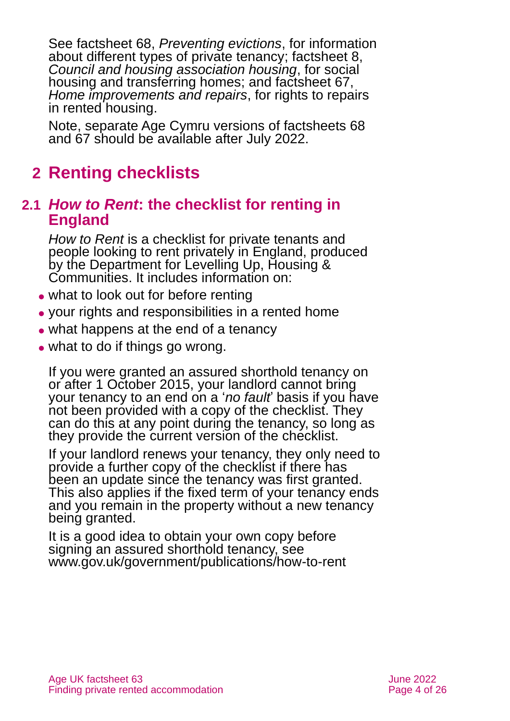See factsheet 68, *[Preventing evictions](https://www.ageuk.org.uk/globalassets/age-uk/documents/factsheets/fs68_tenancy_rights_security_of_tenure_fcs.pdf?dtrk=true)*, for information about different types of private tenancy; factsheet 8, *[Council and housing association housing](https://www.ageuk.org.uk/globalassets/age-uk/documents/factsheets/fs8_council_and_housing_association_housing_fcs.pdf?dtrk=true)*, for social housing and transferring homes; and factsheet 67, *[Home improvements and repairs](https://www.ageuk.org.uk/globalassets/age-uk/documents/factsheets/fs67_home_improvements_and_repairs_fcs.pdf?dtrk=true)*, for rights to repairs in rented housing.

Note, separate Age Cymru versions of factsheets 68 and 67 should be available after July 2022.

# <span id="page-3-0"></span>**2 Renting checklists**

### **2.1** *How to Rent***: the checklist for renting in England**

*[How to Rent](https://www.gov.uk/government/publications/how-to-rent)* is a checklist for private tenants and people looking to rent privately in England, produced by the Department for Levelling Up, Housing & Communities. It includes information on:

- what to look out for before renting
- ⚫ your rights and responsibilities in a rented home
- what happens at the end of a tenancy
- what to do if things go wrong.

If you were granted an assured shorthold tenancy on or after 1 October 2015, your landlord cannot bring your tenancy to an end on a '*no fault*' basis if you have not been provided with a copy of the checklist. They can do this at any point during the tenancy, so long as they provide the current version of the checklist.

If your landlord renews your tenancy, they only need to provide a further copy of the checklist if there has been an update since the tenancy was first granted. This also applies if the fixed term of your tenancy ends and you remain in the property without a new tenancy being granted.

It is a good idea to obtain your own copy before signing an assured shorthold tenancy, see [www.gov.uk/government/publications/how-to-rent](http://www.gov.uk/government/publications/how-to-rent)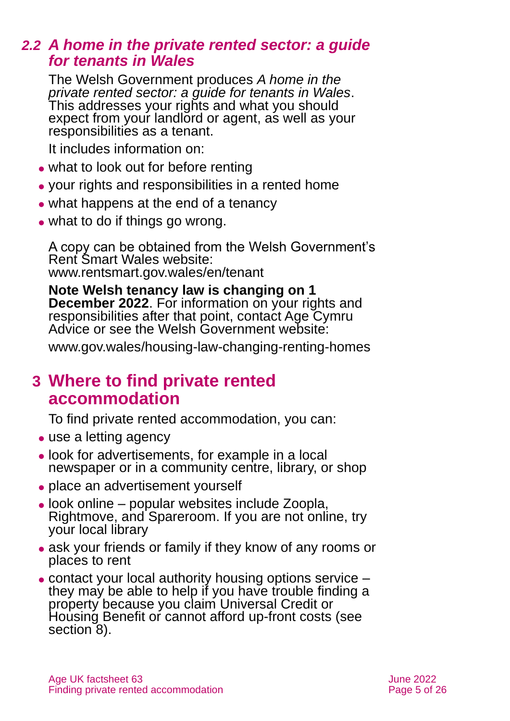### *2.2 A home in the private rented sector: a guide for tenants in Wales*

The Welsh Government produces *[A home in the](https://gov.wales/renting-home-private-landlord-or-letting-agent-guidance-tenants)  [private rented sector: a guide for tenants in Wales](https://gov.wales/renting-home-private-landlord-or-letting-agent-guidance-tenants)*. This addresses your rights and what you should expect from your landlord or agent, as well as your responsibilities as a tenant.

It includes information on:

- what to look out for before renting
- ⚫ your rights and responsibilities in a rented home
- what happens at the end of a tenancy
- what to do if things go wrong.

A copy can be obtained from the Welsh Government's Rent Smart Wales website: [www.rentsmart.gov.wales/en/tenant](http://www.rentsmart.gov.wales/en/tenant)

**Note Welsh tenancy law is changing on 1 December 2022**. For information on your rights and responsibilities after that point, contact Age Cymru Advice or see the Welsh Government website:

<span id="page-4-0"></span>[www.gov.wales/housing-law-changing-renting-homes](http://www.gov.wales/housing-law-changing-renting-homes)

### **3 Where to find private rented accommodation**

To find private rented accommodation, you can:

- use a letting agency
- ⚫ look for advertisements, for example in a local newspaper or in a community centre, library, or shop
- place an advertisement yourself
- ⚫ look online popular websites include [Zoopla,](https://www.zoopla.co.uk/) [Rightmove,](https://www.rightmove.co.uk/) and [Spareroom.](https://www.spareroom.co.uk/) If you are not online, try your local library
- ask your friends or family if they know of any rooms or places to rent
- ⚫ contact your local authority housing options service they may be able to help if you have trouble finding a property because you claim Universal Credit or Housing Benefit or cannot afford up-front costs (see [section](#page-10-0) 8).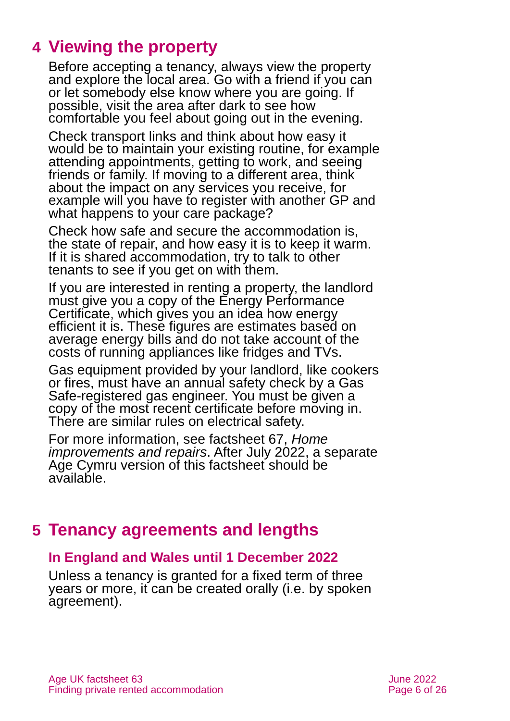# <span id="page-5-0"></span>**4 Viewing the property**

Before accepting a tenancy, always view the property and explore the local area. Go with a friend if you can or let somebody else know where you are going. If possible, visit the area after dark to see how comfortable you feel about going out in the evening.

Check transport links and think about how easy it would be to maintain your existing routine, for example attending appointments, getting to work, and seeing friends or family. If moving to a different area, think about the impact on any services you receive, for example will you have to register with another GP and what happens to your care package?

Check how safe and secure the accommodation is, the state of repair, and how easy it is to keep it warm. If it is shared accommodation, try to talk to other tenants to see if you get on with them.

If you are interested in renting a property, the landlord must give you a copy of the Energy Performance Certificate, which gives you an idea how energy efficient it is. These figures are estimates based on average energy bills and do not take account of the costs of running appliances like fridges and TVs.

Gas equipment provided by your landlord, like cookers or fires, must have an annual safety check by a Gas Safe-registered gas engineer. You must be given a copy of the most recent certificate before moving in. There are similar rules on electrical safety.

For more information, see factsheet 67, *[Home](https://www.ageuk.org.uk/globalassets/age-uk/documents/factsheets/fs67_home_improvements_and_repairs_fcs.pdf?dtrk=true)  [improvements and repairs](https://www.ageuk.org.uk/globalassets/age-uk/documents/factsheets/fs67_home_improvements_and_repairs_fcs.pdf?dtrk=true)*. After July 2022, a separate Age Cymru version of this factsheet should be available.

# <span id="page-5-1"></span>**5 Tenancy agreements and lengths**

#### **In England and Wales until 1 December 2022**

Unless a tenancy is granted for a fixed term of three years or more, it can be created orally (i.e. by spoken agreement).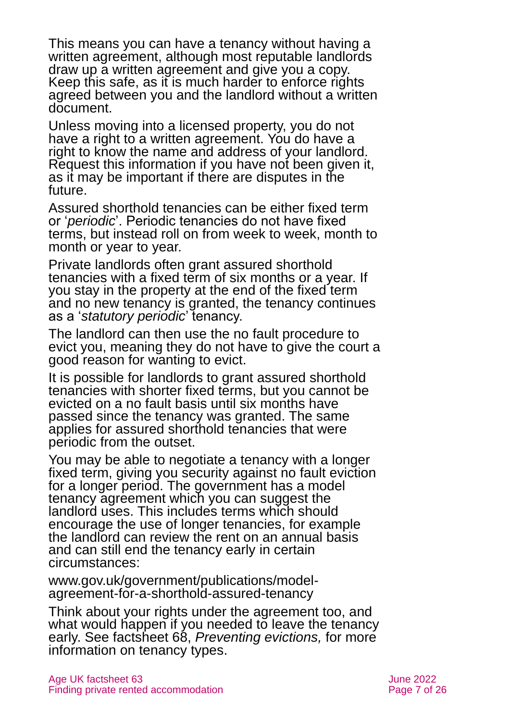This means you can have a tenancy without having a written agreement, although most reputable landlords draw up a written agreement and give you a copy. Keep this safe, as it is much harder to enforce rights agreed between you and the landlord without a written document.

Unless moving into a licensed property, you do not have a right to a written agreement. You do have a right to know the name and address of your landlord. Request this information if you have not been given it, as it may be important if there are disputes in the future.

Assured shorthold tenancies can be either fixed term or '*periodic*'. Periodic tenancies do not have fixed terms, but instead roll on from week to week, month to month or year to year.

Private landlords often grant assured shorthold tenancies with a fixed term of six months or a year. If you stay in the property at the end of the fixed term and no new tenancy is granted, the tenancy continues as a '*statutory periodic*' tenancy.

The landlord can then use the no fault procedure to evict you, meaning they do not have to give the court a good reason for wanting to evict.

It is possible for landlords to grant assured shorthold tenancies with shorter fixed terms, but you cannot be evicted on a no fault basis until six months have passed since the tenancy was granted. The same applies for assured shorthold tenancies that were periodic from the outset.

You may be able to negotiate a tenancy with a longer fixed term, giving you security against no fault eviction for a longer period. The government has a model tenancy agreement which you can suggest the landlord uses. This includes terms which should encourage the use of longer tenancies, for example the landlord can review the rent on an annual basis and can still end the tenancy early in certain circumstances:

[www.gov.uk/government/publications/model](http://www.gov.uk/government/publications/model-agreement-for-a-shorthold-assured-tenancy)[agreement-for-a-shorthold-assured-tenancy](http://www.gov.uk/government/publications/model-agreement-for-a-shorthold-assured-tenancy)

Think about your rights under the agreement too, and what would happen if you needed to leave the tenancy early. See factsheet 68, *[Preventing evictions,](https://www.ageuk.org.uk/globalassets/age-uk/documents/factsheets/fs68_tenancy_rights_security_of_tenure_fcs.pdf?dtrk=true)* for more information on tenancy types.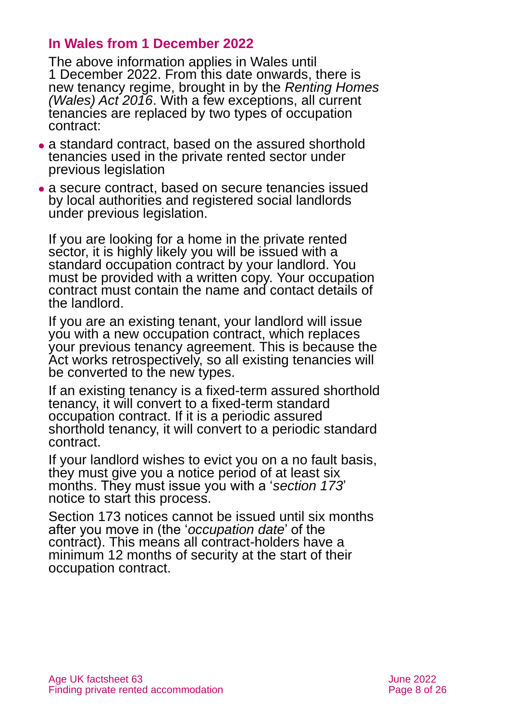#### **In Wales from 1 December 2022**

The above information applies in Wales until 1 December 2022. From this date onwards, there is new tenancy regime, brought in by the *Renting Homes (Wales) Act 2016*. With a few exceptions, all current tenancies are replaced by two types of occupation contract:

- ⚫ a standard contract, based on the assured shorthold tenancies used in the private rented sector under previous legislation
- ⚫ a secure contract, based on secure tenancies issued by local authorities and registered social landlords under previous legislation.

If you are looking for a home in the private rented sector, it is highly likely you will be issued with a standard occupation contract by your landlord. You must be provided with a written copy. Your occupation contract must contain the name and contact details of the landlord.

If you are an existing tenant, your landlord will issue you with a new occupation contract, which replaces your previous tenancy agreement. This is because the Act works retrospectively, so all existing tenancies will be converted to the new types.

If an existing tenancy is a fixed-term assured shorthold tenancy, it will convert to a fixed-term standard occupation contract. If it is a periodic assured shorthold tenancy, it will convert to a periodic standard contract.

If your landlord wishes to evict you on a no fault basis, they must give you a notice period of at least six months. They must issue you with a '*section 173*' notice to start this process.

Section 173 notices cannot be issued until six months after you move in (the '*occupation date*' of the contract). This means all contract-holders have a minimum 12 months of security at the start of their occupation contract.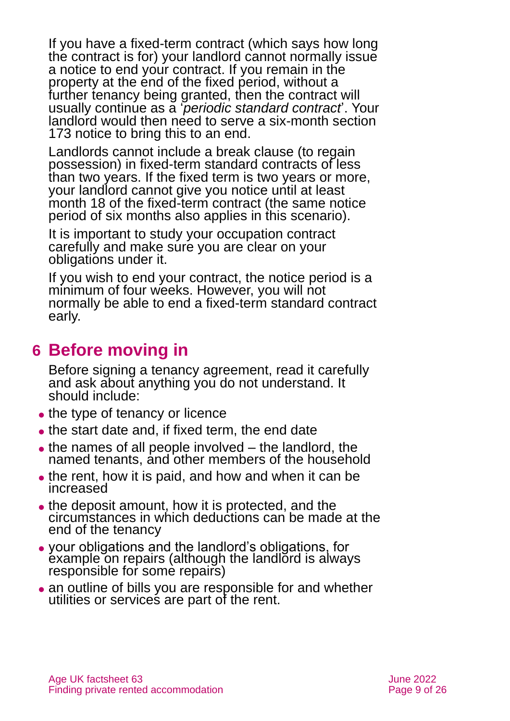If you have a fixed-term contract (which says how long the contract is for) your landlord cannot normally issue a notice to end your contract. If you remain in the property at the end of the fixed period, without a further tenancy being granted, then the contract will usually continue as a '*periodic standard contract*'. Your landlord would then need to serve a six-month section 173 notice to bring this to an end.

Landlords cannot include a break clause (to regain possession) in fixed-term standard contracts of less than two years. If the fixed term is two years or more, your landlord cannot give you notice until at least month 18 of the fixed-term contract (the same notice period of six months also applies in this scenario).

It is important to study your occupation contract carefully and make sure you are clear on your obligations under it.

If you wish to end your contract, the notice period is a minimum of four weeks. However, you will not normally be able to end a fixed-term standard contract early.

### <span id="page-8-0"></span>**6 Before moving in**

Before signing a tenancy agreement, read it carefully and ask about anything you do not understand. It should include:

- the type of tenancy or licence
- the start date and, if fixed term, the end date
- $\bullet$  the names of all people involved  $-$  the landlord, the named tenants, and other members of the household
- the rent, how it is paid, and how and when it can be increased
- the deposit amount, how it is protected, and the circumstances in which deductions can be made at the end of the tenancy
- ⚫ your obligations and the landlord's obligations, for example on repairs (although the landlord is always responsible for some repairs)
- an outline of bills you are responsible for and whether utilities or services are part of the rent.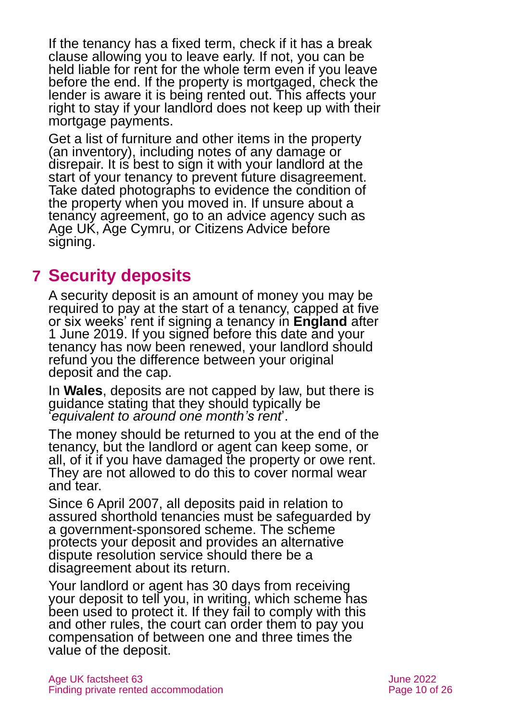If the tenancy has a fixed term, check if it has a break clause allowing you to leave early. If not, you can be held liable for rent for the whole term even if you leave before the end. If the property is mortgaged, check the lender is aware it is being rented out. This affects your right to stay if your landlord does not keep up with their mortgage payments.

Get a list of furniture and other items in the property (an inventory), including notes of any damage or disrepair. It is best to sign it with your landlord at the start of your tenancy to prevent future disagreement. Take dated photographs to evidence the condition of the property when you moved in. If unsure about a tenancy agreement, go to an advice agency such as [Age UK,](https://www.ageuk.org.uk/) [Age Cymru,](https://www.ageuk.org.uk/cymru/) or [Citizens Advice](http://www.citizensadvice.org.uk/) before signing.

# <span id="page-9-0"></span>**7 Security deposits**

A security deposit is an amount of money you may be required to pay at the start of a tenancy, capped at five or six weeks' rent if signing a tenancy in **England** after 1 June 2019. If you signed before this date and your tenancy has now been renewed, your landlord should refund you the difference between your original deposit and the cap.

In **Wales**, deposits are not capped by law, but there is guidance stating that they should typically be '*equivalent to around one month's rent*'.

The money should be returned to you at the end of the tenancy, but the landlord or agent can keep some, or all, of it if you have damaged the property or owe rent. They are not allowed to do this to cover normal wear and tear.

Since 6 April 2007, all deposits paid in relation to assured shorthold tenancies must be safeguarded by a government-sponsored scheme. The scheme protects your deposit and provides an alternative dispute resolution service should there be a disagreement about its return.

Your landlord or agent has 30 days from receiving your deposit to tell you, in writing, which scheme has been used to protect it. If they fail to comply with this and other rules, the court can order them to pay you compensation of between one and three times the value of the deposit.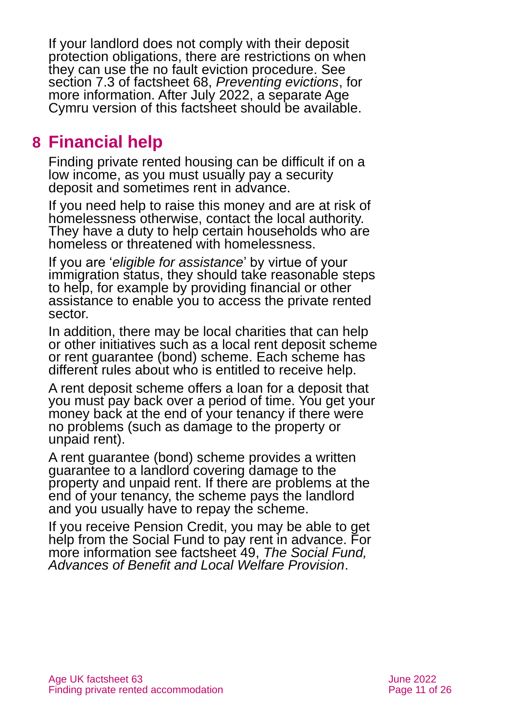If your landlord does not comply with their deposit protection obligations, there are restrictions on when they can use the no fault eviction procedure. See section 7.3 of factsheet 68, *[Preventing evictions](https://www.ageuk.org.uk/globalassets/age-uk/documents/factsheets/fs68_tenancy_rights_security_of_tenure_fcs.pdf?dtrk=true)*, for more information. After July 2022, a separate Age Cymru version of this factsheet should be available.

# <span id="page-10-0"></span>**8 Financial help**

Finding private rented housing can be difficult if on a low income, as you must usually pay a security deposit and sometimes rent in advance.

If you need help to raise this money and are at risk of homelessness otherwise, contact the local authority. They have a duty to help certain households who are homeless or threatened with homelessness.

If you are '*eligible for assistance*' by virtue of your immigration status, they should take reasonable steps to help, for example by providing financial or other assistance to enable you to access the private rented sector.

In addition, there may be local charities that can help or other initiatives such as a local rent deposit scheme or rent guarantee (bond) scheme. Each scheme has different rules about who is entitled to receive help.

A rent deposit scheme offers a loan for a deposit that you must pay back over a period of time. You get your money back at the end of your tenancy if there were no problems (such as damage to the property or unpaid rent).

A rent guarantee (bond) scheme provides a written guarantee to a landlord covering damage to the property and unpaid rent. If there are problems at the end of your tenancy, the scheme pays the landlord and you usually have to repay the scheme.

If you receive Pension Credit, you may be able to get help from the Social Fund to pay rent in advance. For more information [see factsheet 49,](https://www.ageuk.org.uk/globalassets/age-uk/documents/factsheets/fs49_the_social_fund_advances_of_benefit_and_local_welfare_provision_fcs.pdf) *The Social Fund, [Advances of Benefit and Local Welfare Provision](https://www.ageuk.org.uk/globalassets/age-uk/documents/factsheets/fs49_the_social_fund_advances_of_benefit_and_local_welfare_provision_fcs.pdf)*.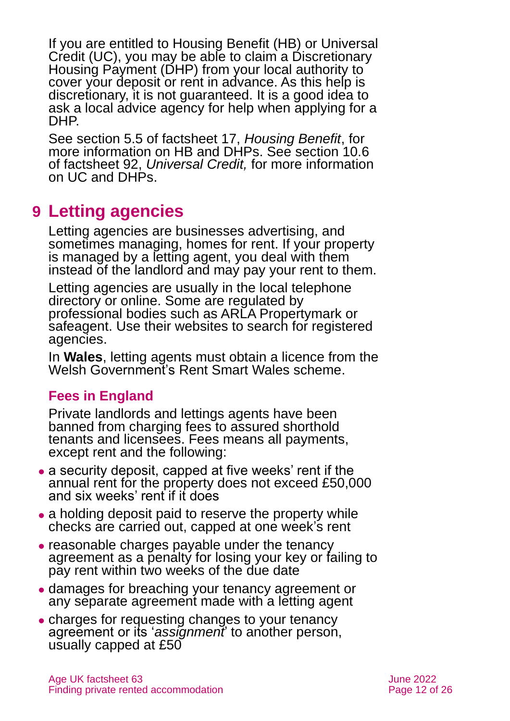If you are entitled to Housing Benefit (HB) or Universal Credit (UC), you may be able to claim a Discretionary Housing Payment (DHP) from your local authority to cover your deposit or rent in advance. As this help is discretionary, it is not guaranteed. It is a good idea to ask a local advice agency for help when applying for a DHP.

See section 5.5 of factsheet 17, *[Housing Benefit](https://www.ageuk.org.uk/globalassets/age-uk/documents/factsheets/fs17_housing_benefit_fcs.pdf)*, for more information on HB and DHPs. See section 10.6 of factsheet 92, *[Universal Credit,](https://www.ageuk.org.uk/globalassets/age-uk/documents/factsheets/fs92_universal_credit_fcs.pdf)* for more information on UC and DHPs.

# <span id="page-11-0"></span>**9 Letting agencies**

Letting agencies are businesses advertising, and sometimes managing, homes for rent. If your property is managed by a letting agent, you deal with them instead of the landlord and may pay your rent to them.

Letting agencies are usually in the local telephone directory or online. Some are regulated by professional bodies such as [ARLA Propertymark](https://www.arla.co.uk/) or [safeagent.](https://safeagents.co.uk/?notice=show) Use their websites to search for registered agencies.

In **Wales**, letting agents must obtain a licence from the Welsh Government's [Rent Smart Wales scheme.](https://rentsmart.gov.wales/)

### **Fees in England**

Private landlords and lettings agents have been banned from charging fees to assured shorthold tenants and licensees. Fees means all payments, except rent and the following:

- a security deposit, capped at five weeks' rent if the annual rent for the property does not exceed £50,000 and six weeks' rent if it does
- a holding deposit paid to reserve the property while checks are carried out, capped at one week's rent
- ⚫ reasonable charges payable under the tenancy agreement as a penalty for losing your key or failing to pay rent within two weeks of the due date
- ⚫ damages for breaching your tenancy agreement or any separate agreement made with a letting agent
- ⚫ charges for requesting changes to your tenancy agreement or its '*assignment*' to another person, usually capped at £50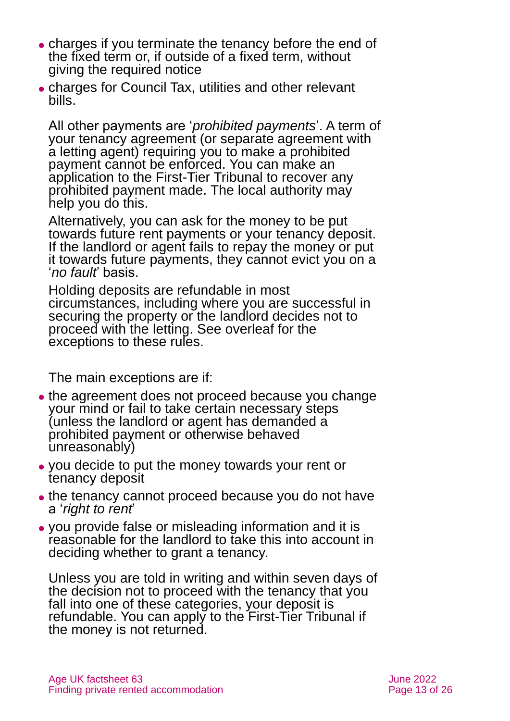- ⚫ charges if you terminate the tenancy before the end of the fixed term or, if outside of a fixed term, without giving the required notice
- ⚫ charges for Council Tax, utilities and other relevant bills.

All other payments are '*prohibited payments*'. A term of your tenancy agreement (or separate agreement with a letting agent) requiring you to make a prohibited payment cannot be enforced. You can make an application to the First-Tier Tribunal to recover any prohibited payment made. The local authority may help you do this.

Alternatively, you can ask for the money to be put towards future rent payments or your tenancy deposit. If the landlord or agent fails to repay the money or put it towards future payments, they cannot evict you on a '*no fault*' basis.

Holding deposits are refundable in most circumstances, including where you are successful in securing the property or the landlord decides not to proceed with the letting. See overleaf for the exceptions to these rules.

The main exceptions are if:

- the agreement does not proceed because you change your mind or fail to take certain necessary steps (unless the landlord or agent has demanded a prohibited payment or otherwise behaved unreasonably)
- ⚫ you decide to put the money towards your rent or tenancy deposit
- the tenancy cannot proceed because you do not have a '*right to rent*'
- ⚫ you provide false or misleading information and it is reasonable for the landlord to take this into account in deciding whether to grant a tenancy.

Unless you are told in writing and within seven days of the decision not to proceed with the tenancy that you fall into one of these categories, your deposit is refundable. You can apply to the First-Tier Tribunal if the money is not returned.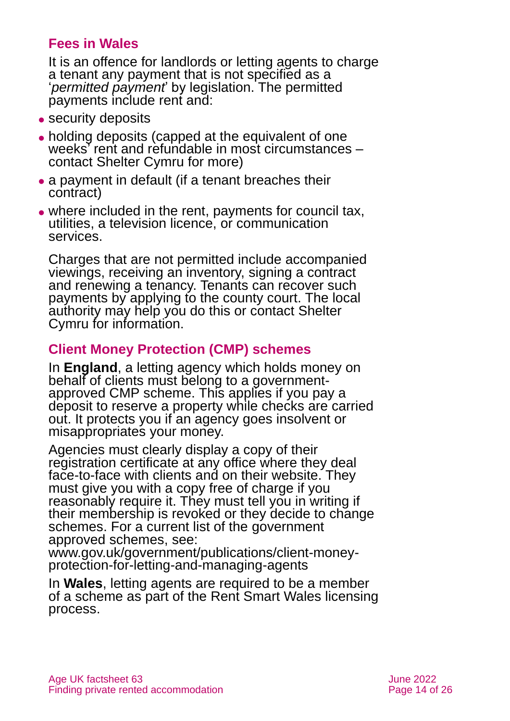### **Fees in Wales**

It is an offence for landlords or letting agents to charge a tenant any payment that is not specified as a '*permitted payment*' by legislation. The permitted payments include rent and:

- security deposits
- ⚫ holding deposits (capped at the equivalent of one weeks' rent and refundable in most circumstances – contact [Shelter Cymru](https://sheltercymru.org.uk/) for more)
- a payment in default (if a tenant breaches their contract)
- where included in the rent, payments for council tax, utilities, a television licence, or communication services.

Charges that are not permitted include accompanied viewings, receiving an inventory, signing a contract and renewing a tenancy. Tenants can recover such payments by applying to the county court. The local authority may help you do this or contact [Shelter](https://sheltercymru.org.uk/)  [Cymru](https://sheltercymru.org.uk/) for information.

### **Client Money Protection (CMP) schemes**

In **England**, a letting agency which holds money on behalf of clients must belong to a governmentapproved CMP scheme. This applies if you pay a deposit to reserve a property while checks are carried out. It protects you if an agency goes insolvent or misappropriates your money.

Agencies must clearly display a copy of their registration certificate at any office where they deal face-to-face with clients and on their website. They must give you with a copy free of charge if you reasonably require it. They must tell you in writing if their membership is revoked or they decide to change schemes. For a current list of the government approved schemes, see:

[www.gov.uk/government/publications/client-money](http://www.gov.uk/government/publications/client-money-protection-for-letting-and-managing-agents)[protection-for-letting-and-managing-agents](http://www.gov.uk/government/publications/client-money-protection-for-letting-and-managing-agents)

In **Wales**, letting agents are required to be a member of a scheme as part of the Rent Smart Wales licensing process.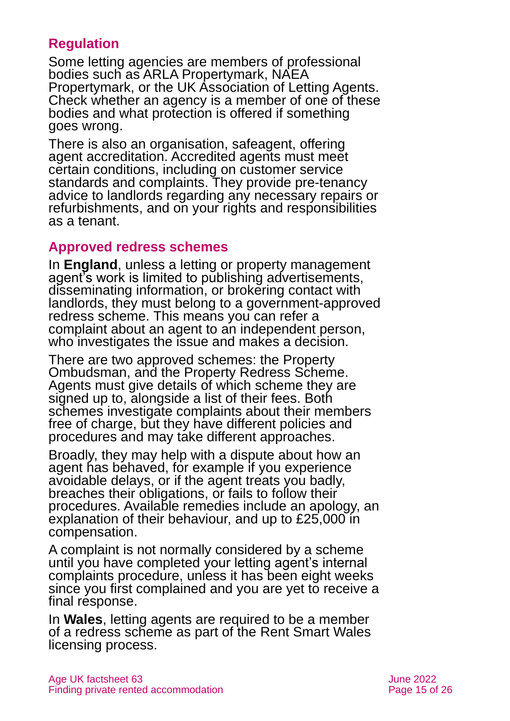### **Regulation**

Some letting agencies are members of professional bodies such as [ARLA Propertymark,](https://www.arla.co.uk/) [NAEA](https://www.naea.co.uk/)  [Propertymark,](https://www.naea.co.uk/) or the [UK Association of Letting Agents.](https://www.ukala.org.uk/) Check whether an agency is a member of one of these bodies and what protection is offered if something goes wrong.

There is also an organisation, [safeagent,](https://safeagents.co.uk/) offering agent accreditation. Accredited agents must meet certain conditions, including on customer service standards and complaints. They provide pre-tenancy advice to landlords regarding any necessary repairs or refurbishments, and on your rights and responsibilities as a tenant.

#### **Approved redress schemes**

In **England**, unless a letting or property management agent's work is limited to publishing advertisements, disseminating information, or brokering contact with landlords, they must belong to a government-approved redress scheme. This means you can refer a complaint about an agent to an independent person, who investigates the issue and makes a decision.

There are two approved schemes: the [Property](https://www.tpos.co.uk/)  [Ombudsman,](https://www.tpos.co.uk/) and the [Property Redress Scheme.](https://www.theprs.co.uk/) Agents must give details of which scheme they are signed up to, alongside a list of their fees. Both schemes investigate complaints about their members free of charge, but they have different policies and procedures and may take different approaches.

Broadly, they may help with a dispute about how an agent has behaved, for example if you experience avoidable delays, or if the agent treats you badly, breaches their obligations, or fails to follow their procedures. Available remedies include an apology, an explanation of their behaviour, and up to £25,000 in compensation.

A complaint is not normally considered by a scheme until you have completed your letting agent's internal complaints procedure, unless it has been eight weeks since you first complained and you are yet to receive a final response.

In **Wales**, letting agents are required to be a member of a redress scheme as part of the [Rent Smart Wales](https://rentsmart.gov.wales/) licensing process.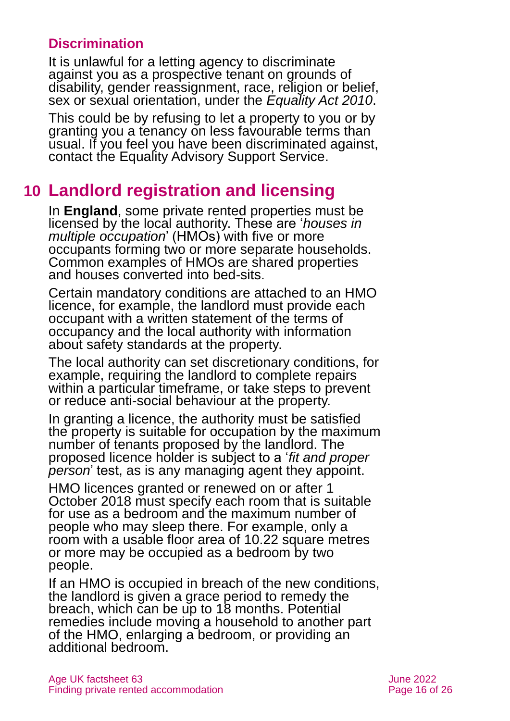### **Discrimination**

It is unlawful for a letting agency to discriminate against you as a prospective tenant on grounds of disability, gender reassignment, race, religion or belief, sex or sexual orientation, under the *Equality Act 2010*.

This could be by refusing to let a property to you or by granting you a tenancy on less favourable terms than usual. If you feel you have been discriminated against, contact the [Equality Advisory Support Service.](http://www.equalityadvisoryservice.com/)

# <span id="page-15-0"></span>**10 Landlord registration and licensing**

In **England**, some private rented properties must be licensed by the local authority. These are '*houses in multiple occupation*' (HMOs) with five or more occupants forming two or more separate households. Common examples of HMOs are shared properties and houses converted into bed-sits.

Certain mandatory conditions are attached to an HMO licence, for example, the landlord must provide each occupant with a written statement of the terms of occupancy and the local authority with information about safety standards at the property.

The local authority can set discretionary conditions, for example, requiring the landlord to complete repairs within a particular timeframe, or take steps to prevent or reduce anti-social behaviour at the property.

In granting a licence, the authority must be satisfied the property is suitable for occupation by the maximum number of tenants proposed by the landlord. The proposed licence holder is subject to a '*fit and proper person*' test, as is any managing agent they appoint.

HMO licences granted or renewed on or after 1 October 2018 must specify each room that is suitable for use as a bedroom and the maximum number of people who may sleep there. For example, only a room with a usable floor area of 10.22 square metres or more may be occupied as a bedroom by two people.

If an HMO is occupied in breach of the new conditions, the landlord is given a grace period to remedy the breach, which can be up to 18 months. Potential remedies include moving a household to another part of the HMO, enlarging a bedroom, or providing an additional bedroom.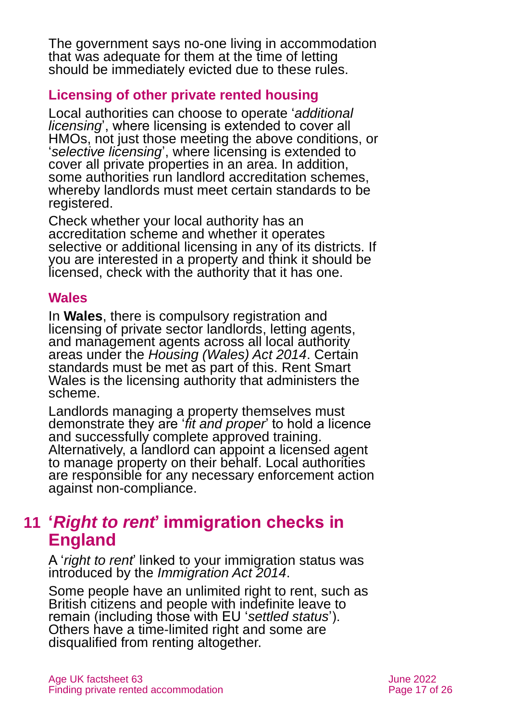The government says no-one living in accommodation that was adequate for them at the time of letting should be immediately evicted due to these rules.

#### **Licensing of other private rented housing**

Local authorities can choose to operate '*additional licensing*', where licensing is extended to cover all HMOs, not just those meeting the above conditions, or '*selective licensing*', where licensing is extended to cover all private properties in an area. In addition, some authorities run landlord accreditation schemes, whereby landlords must meet certain standards to be registered.

Check whether your local authority has an accreditation scheme and whether it operates selective or additional licensing in any of its districts. If you are interested in a property and think it should be licensed, check with the authority that it has one.

#### **Wales**

In **Wales**, there is compulsory registration and licensing of private sector landlords, letting agents, and management agents across all local authority areas under the *[Housing \(Wales\) Act 2014](https://www.legislation.gov.uk/anaw/2014/7/contents)*. Certain standards must be met as part of this. [Rent Smart](https://www.rentsmart.gov.wales/en/)  [Wales](https://www.rentsmart.gov.wales/en/) is the licensing authority that administers the scheme.

Landlords managing a property themselves must demonstrate they are '*fit and proper*' to hold a licence and successfully complete approved training. Alternatively, a landlord can appoint a licensed agent to manage property on their behalf. Local authorities are responsible for any necessary enforcement action against non-compliance.

# <span id="page-16-0"></span>**11 '***Right to rent***' immigration checks in England**

A '*right to rent*' linked to your immigration status was introduced by the *Immigration Act 2014*.

Some people have an unlimited right to rent, such as British citizens and people with indefinite leave to remain (including those with EU '*settled status*'). Others have a time-limited right and some are disqualified from renting altogether.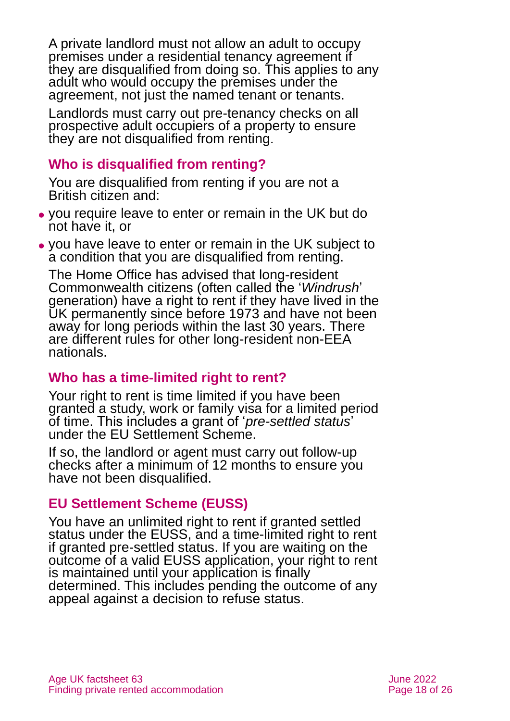A private landlord must not allow an adult to occupy premises under a residential tenancy agreement if they are disqualified from doing so. This applies to any adult who would occupy the premises under the agreement, not just the named tenant or tenants.

Landlords must carry out pre-tenancy checks on all prospective adult occupiers of a property to ensure they are not disqualified from renting.

#### **Who is disqualified from renting?**

You are disqualified from renting if you are not a British citizen and:

- ⚫ you require leave to enter or remain in the UK but do not have it, or
- ⚫ you have leave to enter or remain in the UK subject to a condition that you are disqualified from renting.

The Home Office has advised that long-resident Commonwealth citizens (often called the '*Windrush*' generation) have a right to rent if they have lived in the UK permanently since before 1973 and have not been away for long periods within the last 30 years. There are different rules for other long-resident non-EEA nationals.

### **Who has a time-limited right to rent?**

Your right to rent is time limited if you have been granted a study, work or family visa for a limited period of time. This includes a grant of '*pre-settled status*' under the EU Settlement Scheme.

If so, the landlord or agent must carry out follow-up checks after a minimum of 12 months to ensure you have not been disqualified.

### **EU Settlement Scheme (EUSS)**

You have an unlimited right to rent if granted settled status under the EUSS, and a time-limited right to rent if granted pre-settled status. If you are waiting on the outcome of a valid EUSS application, your right to rent is maintained until your application is finally determined. This includes pending the outcome of any appeal against a decision to refuse status.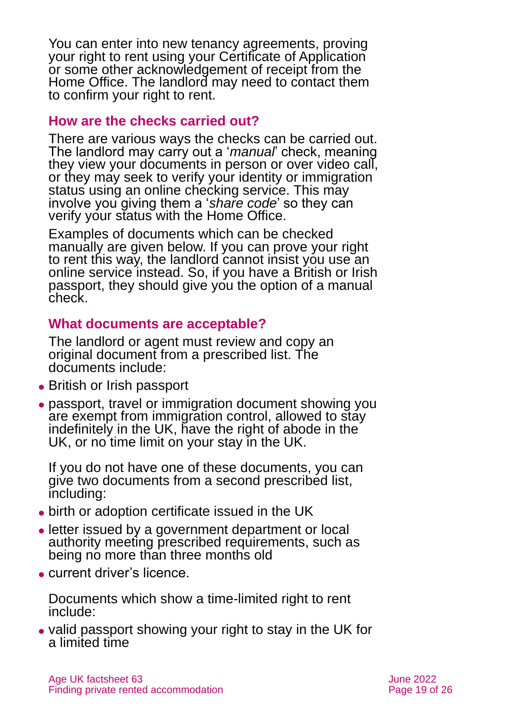You can enter into new tenancy agreements, proving your right to rent using your Certificate of Application or some other acknowledgement of receipt from the Home Office. The landlord may need to contact them to confirm your right to rent.

#### **How are the checks carried out?**

There are various ways the checks can be carried out. The landlord may carry out a '*manual*' check, meaning they view your documents in person or over video call, or they may seek to verify your identity or immigration status using an online checking service. This may involve you giving them a '*share code*' so they can verify your status with the Home Office.

Examples of documents which can be checked manually are given below. If you can prove your right to rent this way, the landlord cannot insist you use an online service instead. So, if you have a British or Irish passport, they should give you the option of a manual check.

#### **What documents are acceptable?**

The landlord or agent must review and copy an original document from a prescribed list. The documents include:

- ⚫ British or Irish passport
- ⚫ passport, travel or immigration document showing you are exempt from immigration control, allowed to stay indefinitely in the UK, have the right of abode in the UK, or no time limit on your stay in the UK.

If you do not have one of these documents, you can give two documents from a second prescribed list, including:

- ⚫ birth or adoption certificate issued in the UK
- ⚫ letter issued by a government department or local authority meeting prescribed requirements, such as being no more than three months old
- ⚫ current driver's licence.

Documents which show a time-limited right to rent include:

⚫ valid passport showing your right to stay in the UK for a limited time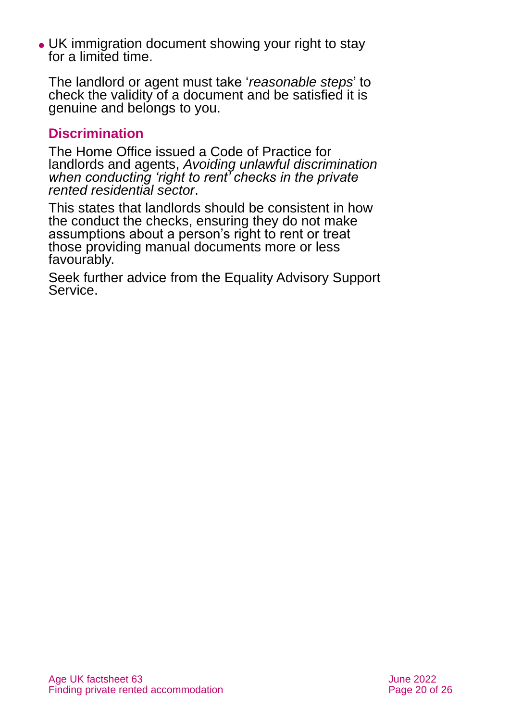⚫ UK immigration document showing your right to stay for a limited time.

The landlord or agent must take '*reasonable steps*' to check the validity of a document and be satisfied it is genuine and belongs to you.

#### **Discrimination**

The Home Office issued a Code of Practice for landlords and agents, *[Avoiding unlawful discrimination](https://www.gov.uk/government/publications/right-to-rent-landlords-code-of-practice)  [when conducting 'right to rent' checks in the private](https://www.gov.uk/government/publications/right-to-rent-landlords-code-of-practice)  [rented residential sector](https://www.gov.uk/government/publications/right-to-rent-landlords-code-of-practice)*.

This states that landlords should be consistent in how the conduct the checks, ensuring they do not make assumptions about a person's right to rent or treat those providing manual documents more or less favourably.

Seek further advice from the [Equality Advisory Support](https://www.equalityadvisoryservice.com/)  [Service.](https://www.equalityadvisoryservice.com/)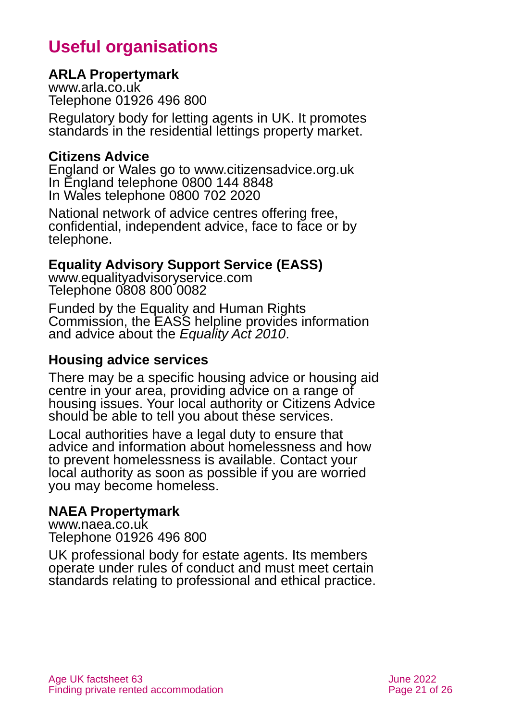# **Useful organisations**

#### <span id="page-20-0"></span>**ARLA Propertymark**

[www.arla.co.uk](http://www.arla.co.uk/) Telephone 01926 496 800

Regulatory body for letting agents in UK. It promotes standards in the residential lettings property market.

#### **Citizens Advice**

England or Wales go to [www.citizensadvice.org.uk](http://www.citizensadvice.org.uk/) In England telephone 0800 144 8848 In Wales telephone 0800 702 2020

National network of advice centres offering free, confidential, independent advice, face to face or by telephone.

#### **Equality Advisory Support Service (EASS)**

[www.equalityadvisoryservice.com](http://www.equalityadvisoryservice.com/) Telephone 0808 800 0082

Funded by the Equality and Human Rights Commission, the EASS helpline provides information and advice about the *Equality Act 2010*.

#### **Housing advice services**

There may be a specific housing advice or housing aid centre in your area, providing advice on a range of housing issues. Your local authority or Citizens Advice should be able to tell you about these services.

Local authorities have a legal duty to ensure that advice and information about homelessness and how to prevent homelessness is available. Contact your local authority as soon as possible if you are worried you may become homeless.

#### **NAEA Propertymark**

[www.naea.co.uk](http://www.naea.co.uk/) Telephone 01926 496 800

UK professional body for estate agents. Its members operate under rules of conduct and must meet certain standards relating to professional and ethical practice.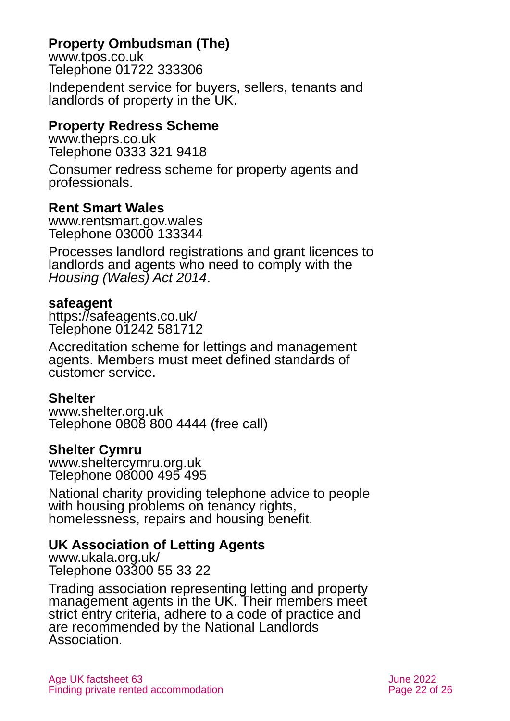### **Property Ombudsman (The)**

[www.tpos.co.uk](http://www.tpos.co.uk/) Telephone 01722 333306

Independent service for buyers, sellers, tenants and landlords of property in the UK.

#### **Property Redress Scheme**

[www.theprs.co.uk](http://www.theprs.co.uk/) Telephone 0333 321 9418

Consumer redress scheme for property agents and professionals.

#### **Rent Smart Wales**

[www.rentsmart.gov.wales](http://www.rentsmart.gov.wales/) Telephone 03000 133344

Processes landlord registrations and grant licences to landlords and agents who need to comply with the *Housing (Wales) Act 2014*.

#### **safeagent**

<https://safeagents.co.uk/> Telephone 01242 581712

Accreditation scheme for lettings and management agents. Members must meet defined standards of customer service.

#### **Shelter**

[www.shelter.org.uk](http://www.shelter.org.uk/) Telephone 0808 800 4444 (free call)

#### **Shelter Cymru**

[www.sheltercymru.org.uk](http://www.sheltercymru.org.uk/) Telephone 08000 495 495

National charity providing telephone advice to people with housing problems on tenancy rights, homelessness, repairs and housing benefit.

#### **UK Association of Letting Agents**

[www.ukala.org.uk/](http://www.ukala.org.uk/) Telephone 03300 55 33 22

Trading association representing letting and property management agents in the UK. Their members meet strict entry criteria, adhere to a code of practice and are recommended by the National Landlords Association.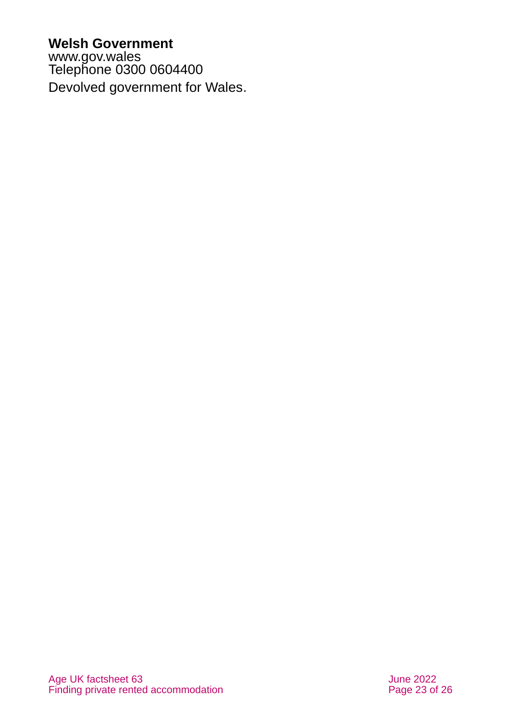#### **Welsh Government**

[www.gov.wales](http://www.gov.wales/) Telephone 0300 0604400 Devolved government for Wales.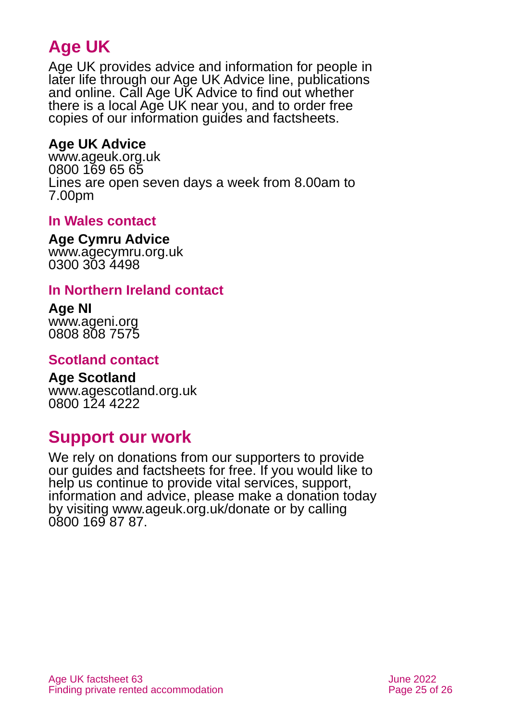# **Age UK**

Age UK provides advice and information for people in later life through our Age UK Advice line, publications and online. Call Age UK Advice to find out whether there is a local Age UK near you, and to order free copies of our information guides and factsheets.

### <span id="page-24-2"></span>**Age UK Advice**

[www.ageuk.org.uk](http://www.ageuk.org.uk/) 0800 169 65 65 Lines are open seven days a week from 8.00am to 7.00pm

#### **In Wales contact**

#### **Age Cymru Advice**

[www.agecymru.org.uk](http://www.agecymru.org.uk/) 0300 303 4498

#### <span id="page-24-1"></span>**In Northern Ireland contact**

# **Age NI**

[www.ageni.org](http://www.ageni.org/) 0808 808 7575

#### <span id="page-24-0"></span>**Scotland contact**

<span id="page-24-3"></span>**Age Scotland** [www.agescotland.org.uk](http://www.agescotland.org.uk/) 0800 124 4222

### **Support our work**

We rely on donations from our supporters to provide our guides and factsheets for free. If you would like to help us continue to provide vital services, support, information and advice, please make a donation today by visiting [www.ageuk.org.uk/donate](http://www.ageuk.org.uk/donate) or by calling 0800 169 87 87.